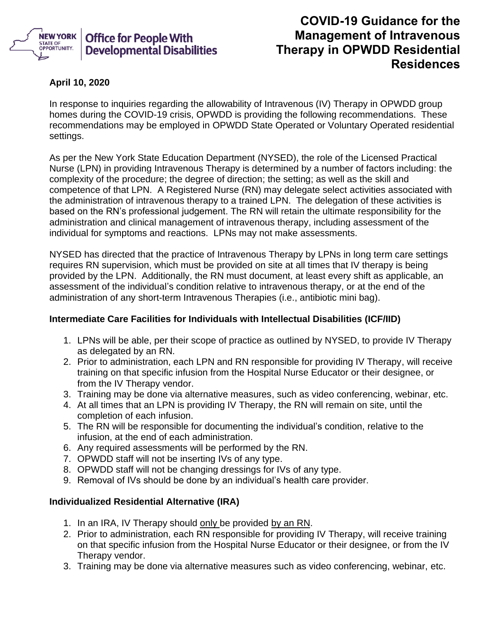

## **COVID-19 Guidance for the Management of Intravenous Therapy in OPWDD Residential Residences**

## **April 10, 2020**

In response to inquiries regarding the allowability of Intravenous (IV) Therapy in OPWDD group homes during the COVID-19 crisis, OPWDD is providing the following recommendations. These recommendations may be employed in OPWDD State Operated or Voluntary Operated residential settings.

As per the New York State Education Department (NYSED), the role of the Licensed Practical Nurse (LPN) in providing Intravenous Therapy is determined by a number of factors including: the complexity of the procedure; the degree of direction; the setting; as well as the skill and competence of that LPN. A Registered Nurse (RN) may delegate select activities associated with the administration of intravenous therapy to a trained LPN. The delegation of these activities is based on the RN's professional judgement. The RN will retain the ultimate responsibility for the administration and clinical management of intravenous therapy, including assessment of the individual for symptoms and reactions. LPNs may not make assessments.

NYSED has directed that the practice of Intravenous Therapy by LPNs in long term care settings requires RN supervision, which must be provided on site at all times that IV therapy is being provided by the LPN. Additionally, the RN must document, at least every shift as applicable, an assessment of the individual's condition relative to intravenous therapy, or at the end of the administration of any short-term Intravenous Therapies (i.e., antibiotic mini bag).

## **Intermediate Care Facilities for Individuals with Intellectual Disabilities (ICF/IID)**

- 1. LPNs will be able, per their scope of practice as outlined by NYSED, to provide IV Therapy as delegated by an RN.
- 2. Prior to administration, each LPN and RN responsible for providing IV Therapy, will receive training on that specific infusion from the Hospital Nurse Educator or their designee, or from the IV Therapy vendor.
- 3. Training may be done via alternative measures, such as video conferencing, webinar, etc.
- 4. At all times that an LPN is providing IV Therapy, the RN will remain on site, until the completion of each infusion.
- 5. The RN will be responsible for documenting the individual's condition, relative to the infusion, at the end of each administration.
- 6. Any required assessments will be performed by the RN.
- 7. OPWDD staff will not be inserting IVs of any type.
- 8. OPWDD staff will not be changing dressings for IVs of any type.
- 9. Removal of IVs should be done by an individual's health care provider.

## **Individualized Residential Alternative (IRA)**

- 1. In an IRA, IV Therapy should only be provided by an RN.
- 2. Prior to administration, each RN responsible for providing IV Therapy, will receive training on that specific infusion from the Hospital Nurse Educator or their designee, or from the IV Therapy vendor.
- 3. Training may be done via alternative measures such as video conferencing, webinar, etc.